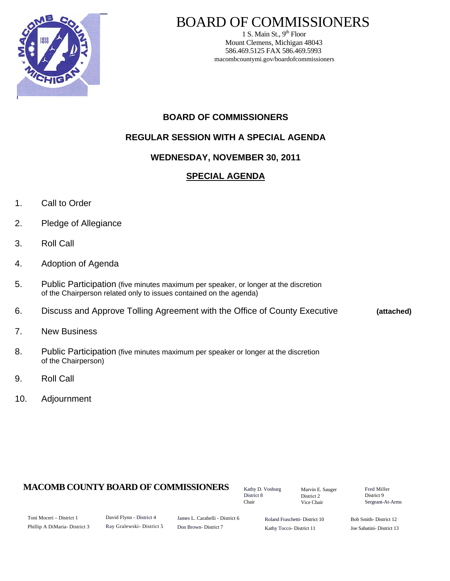

# BOARD OF COMMISSIONERS

1 S. Main St.,  $9<sup>th</sup>$  Floor Mount Clemens, Michigan 48043 586.469.5125 FAX 586.469.5993 macombcountymi.gov/boardofcommissioners

## **BOARD OF COMMISSIONERS**

## **REGULAR SESSION WITH A SPECIAL AGENDA**

## **WEDNESDAY, NOVEMBER 30, 2011**

## **SPECIAL AGENDA**

- 1. Call to Order
- 2. Pledge of Allegiance
- 3. Roll Call
- 4. Adoption of Agenda
- 5. Public Participation (five minutes maximum per speaker, or longer at the discretion of the Chairperson related only to issues contained on the agenda)
- 6. Discuss and Approve Tolling Agreement with the Office of County Executive **(attached)**
- 7. New Business
- 8. Public Participation (five minutes maximum per speaker or longer at the discretion of the Chairperson)
- 9. Roll Call
- 10. Adjournment

## **MACOMB COUNTY BOARD OF COMMISSIONERS** Kathy D. Vosburg Marvin F. Sauger Fred Miller

Kathy D. Vosburg District 8 Chair

Marvin E. Sauger District 2 Vice Chair

District 9 Sergeant-At-Arms

| Toni Moceri – District 1     |
|------------------------------|
| Phillip A DiMaria-District 3 |

David Flynn - District 4 Ray Gralewski- District 5

James L. Carabelli - District 6 Don Brown- District 7

Roland Fraschetti- District 10 Kathy Tocco- District 11

Bob Smith- District 12 Joe Sabatini- District 13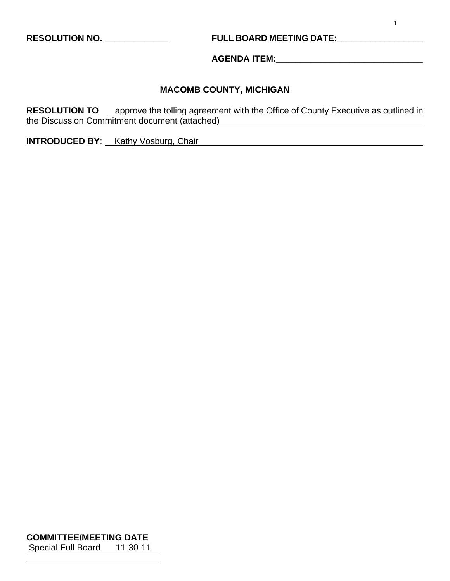**RESOLUTION NO. \_\_\_\_\_\_\_\_\_\_\_\_\_ FULL BOARD MEETING DATE:\_\_\_\_\_\_\_\_\_\_\_\_\_\_\_\_\_\_** 

**AGENDA ITEM:\_\_\_\_\_\_\_\_\_\_\_\_\_\_\_\_\_\_\_\_\_\_\_\_\_\_\_\_\_\_** 

#### **MACOMB COUNTY, MICHIGAN**

**RESOLUTION TO** approve the tolling agreement with the Office of County Executive as outlined in the Discussion Commitment document (attached)

**INTRODUCED BY**: Kathy Vosburg, Chair

**COMMITTEE/MEETING DATE** Special Full Board 11-30-11

 $\overline{a}$